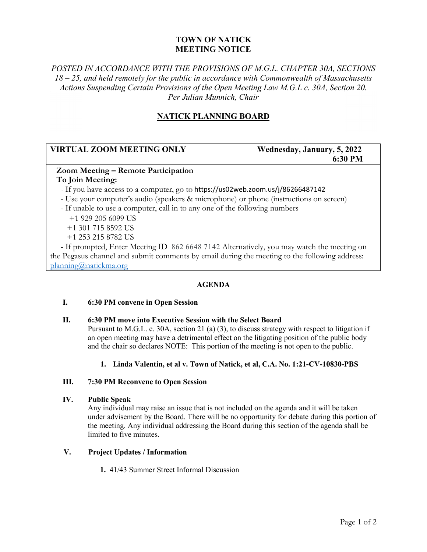# **TOWN OF NATICK MEETING NOTICE**

# *POSTED IN ACCORDANCE WITH THE PROVISIONS OF M.G.L. CHAPTER 30A, SECTIONS 18 – 25, and held remotely for the public in accordance with Commonwealth of Massachusetts Actions Suspending Certain Provisions of the Open Meeting Law M.G.L c. 30A, Section 20. Per Julian Munnich, Chair*

# **NATICK PLANNING BOARD**

# **VIRTUAL ZOOM MEETING ONLY** Wednesday, January, 5, 2022

# **6:30 PM**

### **Zoom Meeting – Remote Participation**

#### **To Join Meeting:**

- If you have access to a computer, go to https://us02web.zoom.us/j/86266487142
- Use your computer's audio (speakers & microphone) or phone (instructions on screen)
- If unable to use a computer, call in to any one of the following numbers
	- +1 929 205 6099 US +1 301 715 8592 US
	- +1 253 215 8782 US

 - If prompted, Enter Meeting ID 862 6648 7142 Alternatively, you may watch the meeting on the Pegasus channel and submit comments by email during the meeting to the following address: [planning@natickma.org](mailto:planning@natickma.org)

# **AGENDA**

#### **I. 6:30 PM convene in Open Session**

#### **II. 6:30 PM move into Executive Session with the Select Board**

Pursuant to M.G.L. c. 30A, section 21 (a) (3), to discuss strategy with respect to litigation if an open meeting may have a detrimental effect on the litigating position of the public body and the chair so declares NOTE: This portion of the meeting is not open to the public.

#### **1. Linda Valentin, et al v. Town of Natick, et al, C.A. No. 1:21-CV-10830-PBS**

#### **III. 7:30 PM Reconvene to Open Session**

#### **IV. Public Speak**

Any individual may raise an issue that is not included on the agenda and it will be taken under advisement by the Board. There will be no opportunity for debate during this portion of the meeting. Any individual addressing the Board during this section of the agenda shall be limited to five minutes.

#### **V. Project Updates / Information**

**1.** 41/43 Summer Street Informal Discussion